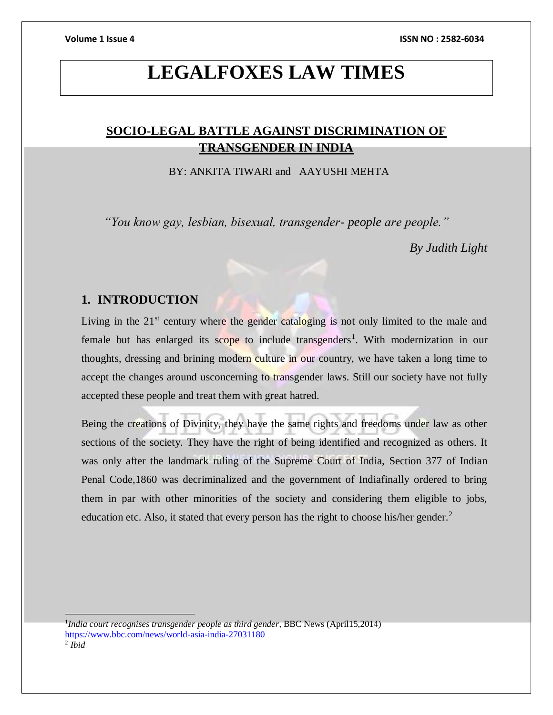### **LEGALFOXES LAW TIMES**

### **SOCIO-LEGAL BATTLE AGAINST DISCRIMINATION OF TRANSGENDER IN INDIA**

BY: ANKITA TIWARI and AAYUSHI MEHTA

*"You know gay, lesbian, bisexual, transgender- people are people."*

*By Judith Light*

#### **1. INTRODUCTION**

Living in the  $21<sup>st</sup>$  century where the gender cataloging is not only limited to the male and female but has enlarged its scope to include transgenders<sup>1</sup>. With modernization in our thoughts, dressing and brining modern culture in our country, we have taken a long time to accept the changes around usconcerning to transgender laws. Still our society have not fully accepted these people and treat them with great hatred.

Being the creations of Divinity, they have the same rights and freedoms under law as other sections of the society. They have the right of being identified and recognized as others. It was only after the landmark ruling of the Supreme Court of India, Section 377 of Indian Penal Code,1860 was decriminalized and the government of Indiafinally ordered to bring them in par with other minorities of the society and considering them eligible to jobs, education etc. Also, it stated that every person has the right to choose his/her gender.<sup>2</sup>

 $\overline{a}$ 

<sup>1</sup> *India court recognises transgender people as third gender*, BBC News (April15,2014) <https://www.bbc.com/news/world-asia-india-27031180>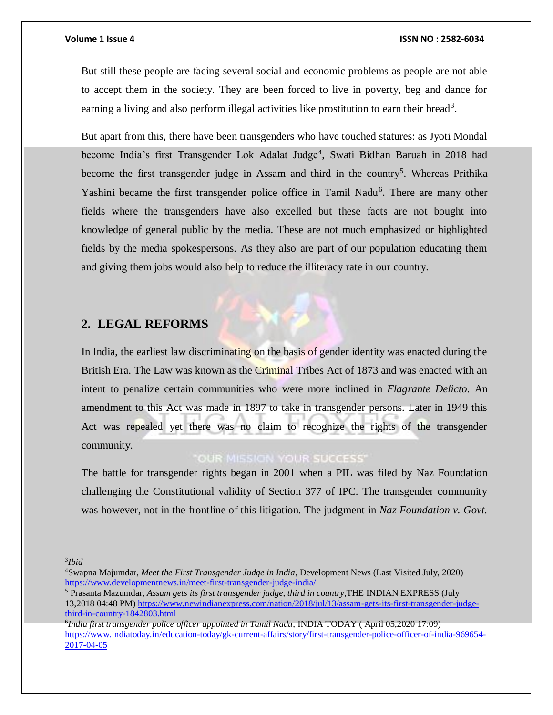But still these people are facing several social and economic problems as people are not able to accept them in the society. They are been forced to live in poverty, beg and dance for earning a living and also perform illegal activities like prostitution to earn their bread<sup>3</sup>.

But apart from this, there have been transgenders who have touched statures: as Jyoti Mondal become India's first Transgender Lok Adalat Judge<sup>4</sup>, Swati Bidhan Baruah in 2018 had become the first transgender judge in Assam and third in the country<sup>5</sup>. Whereas Prithika Yashini became the first transgender police office in Tamil Nadu<sup>6</sup>. There are many other fields where the transgenders have also excelled but these facts are not bought into knowledge of general public by the media. These are not much emphasized or highlighted fields by the media spokespersons. As they also are part of our population educating them and giving them jobs would also help to reduce the illiteracy rate in our country.

#### **2. LEGAL REFORMS**

In India, the earliest law discriminating on the basis of gender identity was enacted during the British Era. The Law was known as the Criminal Tribes Act of 1873 and was enacted with an intent to penalize certain communities who were more inclined in *Flagrante Delicto*. An amendment to this Act was made in 1897 to take in transgender persons. Later in 1949 this Act was repealed yet there was no claim to recognize the rights of the transgender community.

#### OUR MISSION YOUR SUCCESS'

The battle for transgender rights began in 2001 when a PIL was filed by Naz Foundation challenging the Constitutional validity of Section 377 of IPC. The transgender community was however, not in the frontline of this litigation. The judgment in *Naz Foundation v. Govt.* 

 $\overline{a}$ 

<sup>5</sup> Prasanta Mazumdar, *Assam gets its first transgender judge, third in country*,THE INDIAN EXPRESS (July 13,2018 04:48 PM[\) https://www.newindianexpress.com/nation/2018/jul/13/assam-gets-its-first-transgender-judge](https://www.newindianexpress.com/nation/2018/jul/13/assam-gets-its-first-transgender-judge-third-in-country-1842803.html)[third-in-country-1842803.html](https://www.newindianexpress.com/nation/2018/jul/13/assam-gets-its-first-transgender-judge-third-in-country-1842803.html)

<sup>3</sup> *Ibid*

<sup>4</sup>Swapna Majumdar, *Meet the First Transgender Judge in India*, Development News (Last Visited July, 2020) <https://www.developmentnews.in/meet-first-transgender-judge-india/>

<sup>6</sup> *India first transgender police officer appointed in Tamil Nadu*, INDIA TODAY ( April 05,2020 17:09) [https://www.indiatoday.in/education-today/gk-current-affairs/story/first-transgender-police-officer-of-india-969654-](https://www.indiatoday.in/education-today/gk-current-affairs/story/first-transgender-police-officer-of-india-969654-2017-04-05) [2017-04-05](https://www.indiatoday.in/education-today/gk-current-affairs/story/first-transgender-police-officer-of-india-969654-2017-04-05)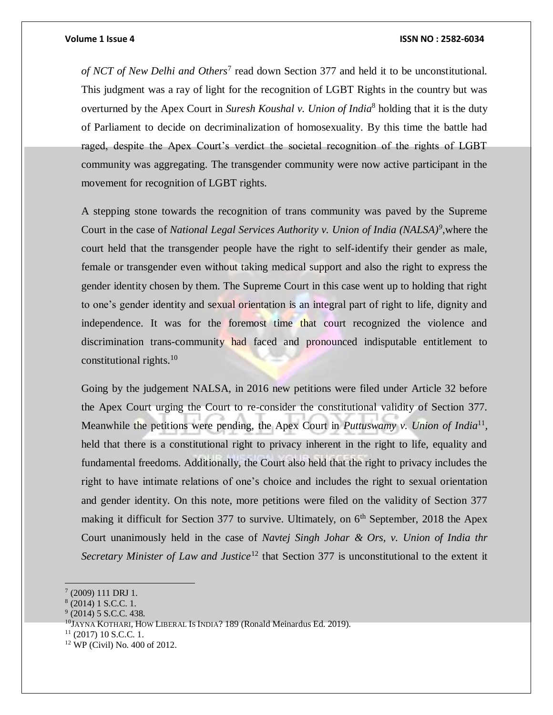#### **Volume 1 Issue 4 ISSN NO : 2582-6034**

of NCT of New Delhi and Others<sup>7</sup> read down Section 377 and held it to be unconstitutional. This judgment was a ray of light for the recognition of LGBT Rights in the country but was overturned by the Apex Court in *Suresh Koushal v. Union of India*<sup>8</sup> holding that it is the duty of Parliament to decide on decriminalization of homosexuality. By this time the battle had raged, despite the Apex Court's verdict the societal recognition of the rights of LGBT community was aggregating. The transgender community were now active participant in the movement for recognition of LGBT rights.

A stepping stone towards the recognition of trans community was paved by the Supreme Court in the case of *National Legal Services Authority v. Union of India (NALSA)<sup>9</sup> ,*where the court held that the transgender people have the right to self-identify their gender as male, female or transgender even without taking medical support and also the right to express the gender identity chosen by them. The Supreme Court in this case went up to holding that right to one's gender identity and sexual orientation is an integral part of right to life, dignity and independence. It was for the foremost time that court recognized the violence and discrimination trans-community had faced and pronounced indisputable entitlement to constitutional rights. $10$ 

Going by the judgement NALSA, in 2016 new petitions were filed under Article 32 before the Apex Court urging the Court to re-consider the constitutional validity of Section 377. Meanwhile the petitions were pending, the Apex Court in *Puttuswamy v. Union of India*<sup>11</sup>, held that there is a constitutional right to privacy inherent in the right to life, equality and fundamental freedoms. Additionally, the Court also held that the right to privacy includes the right to have intimate relations of one's choice and includes the right to sexual orientation and gender identity. On this note, more petitions were filed on the validity of Section 377 making it difficult for Section 377 to survive. Ultimately, on  $6<sup>th</sup>$  September, 2018 the Apex Court unanimously held in the case of *Navtej Singh Johar & Ors, v. Union of India thr Secretary Minister of Law and Justice*<sup>12</sup> that Section 377 is unconstitutional to the extent it

 $\overline{a}$ 

 $11$  (2017) 10 S.C.C. 1.

 $(2009)$  111 DRJ 1.

<sup>8</sup> (2014) 1 S.C.C. 1.

 $9$  (2014) 5 S.C.C. 438.

<sup>&</sup>lt;sup>10</sup>JAYNA KOTHARI, HOW LIBERAL IS INDIA? 189 (Ronald Meinardus Ed. 2019).

<sup>12</sup> WP (Civil) No. 400 of 2012.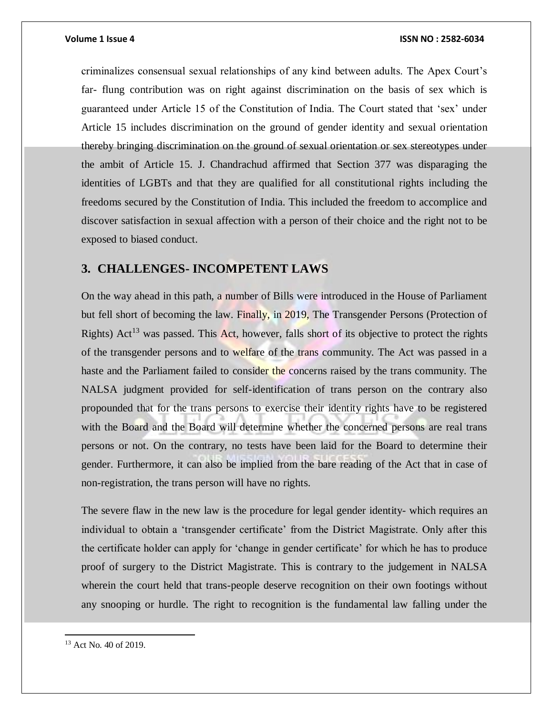criminalizes consensual sexual relationships of any kind between adults. The Apex Court's far- flung contribution was on right against discrimination on the basis of sex which is guaranteed under Article 15 of the Constitution of India. The Court stated that 'sex' under Article 15 includes discrimination on the ground of gender identity and sexual orientation thereby bringing discrimination on the ground of sexual orientation or sex stereotypes under the ambit of Article 15. J. Chandrachud affirmed that Section 377 was disparaging the identities of LGBTs and that they are qualified for all constitutional rights including the freedoms secured by the Constitution of India. This included the freedom to accomplice and discover satisfaction in sexual affection with a person of their choice and the right not to be exposed to biased conduct.

#### **3. CHALLENGES- INCOMPETENT LAWS**

On the way ahead in this path, a number of Bills were introduced in the House of Parliament but fell short of becoming the law. Finally, in 2019, The Transgender Persons (Protection of Rights) Act<sup>13</sup> was passed. This Act, however, falls short of its objective to protect the rights of the transgender persons and to welfare of the trans community. The Act was passed in a haste and the Parliament failed to consider the concerns raised by the trans community. The NALSA judgment provided for self-identification of trans person on the contrary also propounded that for the trans persons to exercise their identity rights have to be registered with the Board and the Board will determine whether the concerned persons are real trans persons or not. On the contrary, no tests have been laid for the Board to determine their gender. Furthermore, it can also be implied from the bare reading of the Act that in case of non-registration, the trans person will have no rights.

The severe flaw in the new law is the procedure for legal gender identity- which requires an individual to obtain a 'transgender certificate' from the District Magistrate. Only after this the certificate holder can apply for 'change in gender certificate' for which he has to produce proof of surgery to the District Magistrate. This is contrary to the judgement in NALSA wherein the court held that trans-people deserve recognition on their own footings without any snooping or hurdle. The right to recognition is the fundamental law falling under the

 $\overline{a}$ 

<sup>13</sup> Act No. 40 of 2019.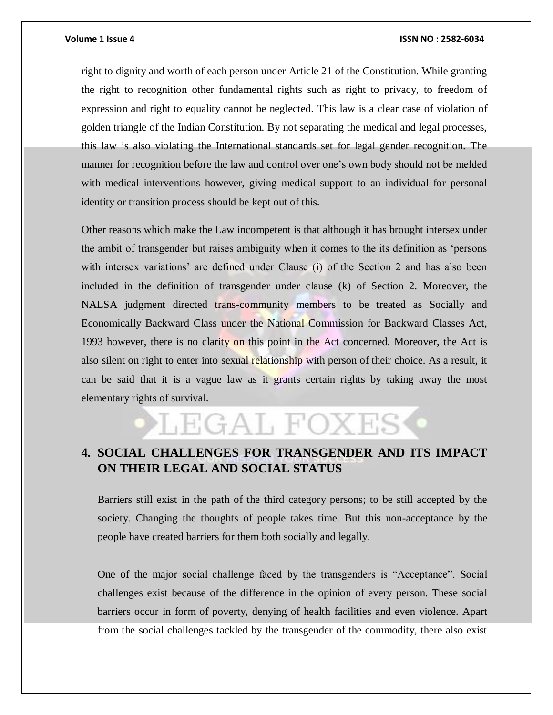#### **Volume 1 Issue 4 ISSN NO : 2582-6034**

right to dignity and worth of each person under Article 21 of the Constitution. While granting the right to recognition other fundamental rights such as right to privacy, to freedom of expression and right to equality cannot be neglected. This law is a clear case of violation of golden triangle of the Indian Constitution. By not separating the medical and legal processes, this law is also violating the International standards set for legal gender recognition. The manner for recognition before the law and control over one's own body should not be melded with medical interventions however, giving medical support to an individual for personal identity or transition process should be kept out of this.

Other reasons which make the Law incompetent is that although it has brought intersex under the ambit of transgender but raises ambiguity when it comes to the its definition as 'persons with intersex variations' are defined under Clause (i) of the Section 2 and has also been included in the definition of transgender under clause (k) of Section 2. Moreover, the NALSA judgment directed trans-community members to be treated as Socially and Economically Backward Class under the National Commission for Backward Classes Act, 1993 however, there is no clarity on this point in the Act concerned. Moreover, the Act is also silent on right to enter into sexual relationship with person of their choice. As a result, it can be said that it is a vague law as it grants certain rights by taking away the most elementary rights of survival.

## LEGAL FOXE:

### **4. SOCIAL CHALLENGES FOR TRANSGENDER AND ITS IMPACT ON THEIR LEGAL AND SOCIAL STATUS**

Barriers still exist in the path of the third category persons; to be still accepted by the society. Changing the thoughts of people takes time. But this non-acceptance by the people have created barriers for them both socially and legally.

One of the major social challenge faced by the transgenders is "Acceptance". Social challenges exist because of the difference in the opinion of every person. These social barriers occur in form of poverty, denying of health facilities and even violence. Apart from the social challenges tackled by the transgender of the commodity, there also exist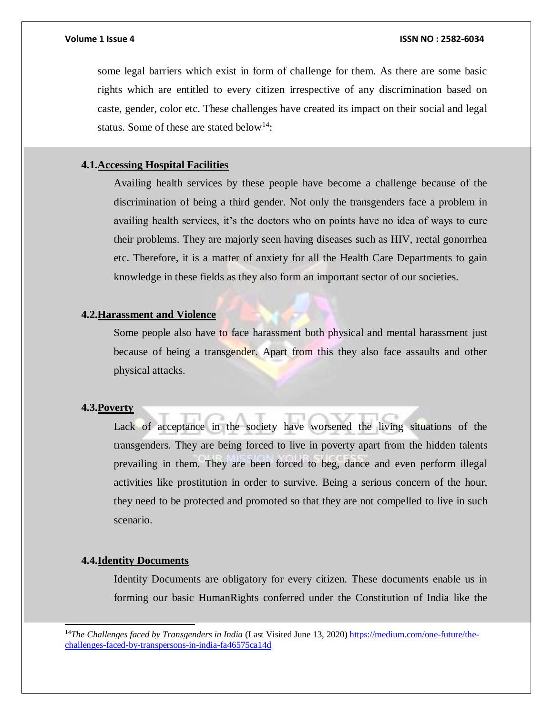some legal barriers which exist in form of challenge for them. As there are some basic rights which are entitled to every citizen irrespective of any discrimination based on caste, gender, color etc. These challenges have created its impact on their social and legal status. Some of these are stated below<sup>14</sup>:

#### **4.1.Accessing Hospital Facilities**

Availing health services by these people have become a challenge because of the discrimination of being a third gender. Not only the transgenders face a problem in availing health services, it's the doctors who on points have no idea of ways to cure their problems. They are majorly seen having diseases such as HIV, rectal gonorrhea etc. Therefore, it is a matter of anxiety for all the Health Care Departments to gain knowledge in these fields as they also form an important sector of our societies.

#### **4.2.Harassment and Violence**

Some people also have to face harassment both physical and mental harassment just because of being a transgender. Apart from this they also face assaults and other physical attacks.

#### **4.3.Poverty**

Lack of acceptance in the society have worsened the living situations of the transgenders. They are being forced to live in poverty apart from the hidden talents prevailing in them. They are been forced to beg, dance and even perform illegal activities like prostitution in order to survive. Being a serious concern of the hour, they need to be protected and promoted so that they are not compelled to live in such scenario.

#### **4.4.Identity Documents**

l

Identity Documents are obligatory for every citizen. These documents enable us in forming our basic HumanRights conferred under the Constitution of India like the

<sup>14</sup>The Challenges faced by Transgenders in India (Last Visited June 13, 2020) [https://medium.com/one-future/the](https://medium.com/one-future/the-challenges-faced-by-transpersons-in-india-fa46575ca14d)[challenges-faced-by-transpersons-in-india-fa46575ca14d](https://medium.com/one-future/the-challenges-faced-by-transpersons-in-india-fa46575ca14d)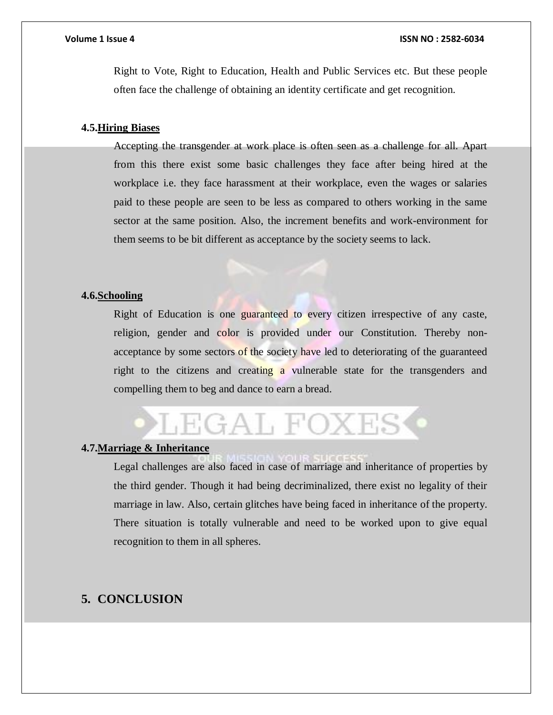Right to Vote, Right to Education, Health and Public Services etc. But these people often face the challenge of obtaining an identity certificate and get recognition.

#### **4.5.Hiring Biases**

Accepting the transgender at work place is often seen as a challenge for all. Apart from this there exist some basic challenges they face after being hired at the workplace i.e. they face harassment at their workplace, even the wages or salaries paid to these people are seen to be less as compared to others working in the same sector at the same position. Also, the increment benefits and work-environment for them seems to be bit different as acceptance by the society seems to lack.

#### **4.6.Schooling**

Right of Education is one guaranteed to every citizen irrespective of any caste, religion, gender and color is provided under our Constitution. Thereby nonacceptance by some sectors of the society have led to deteriorating of the guaranteed right to the citizens and creating a vulnerable state for the transgenders and compelling them to beg and dance to earn a bread.

## LEGAL FOXES

#### **4.7.Marriage & Inheritance**

Legal challenges are also faced in case of marriage and inheritance of properties by the third gender. Though it had being decriminalized, there exist no legality of their marriage in law. Also, certain glitches have being faced in inheritance of the property. There situation is totally vulnerable and need to be worked upon to give equal recognition to them in all spheres.

#### **5. CONCLUSION**